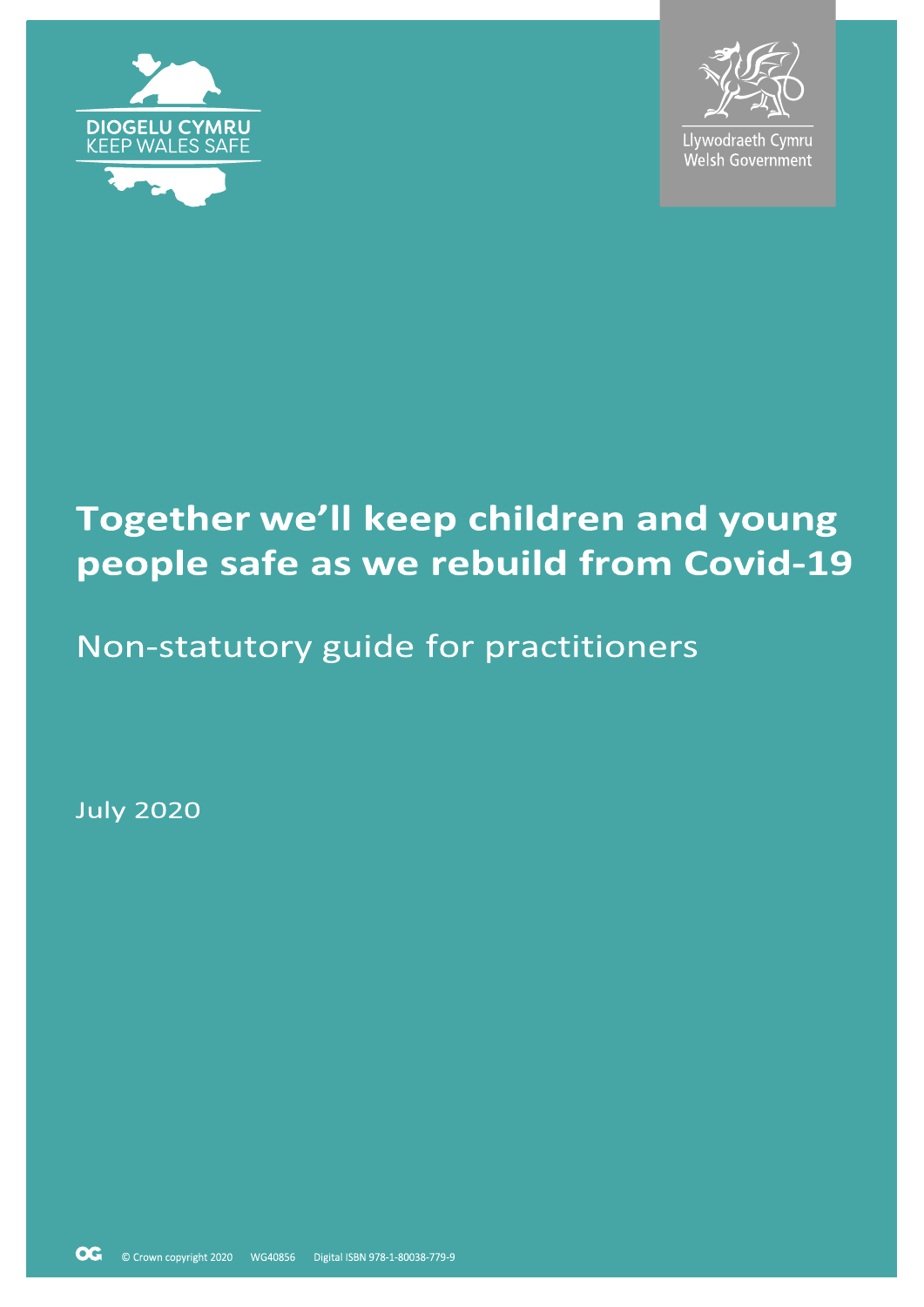



Llywodraeth Cymru Welsh Government

# Together we'll keep children and young people safe as we rebuild from Covid-19

## Non-statutory guide for practitioners

**July 2020**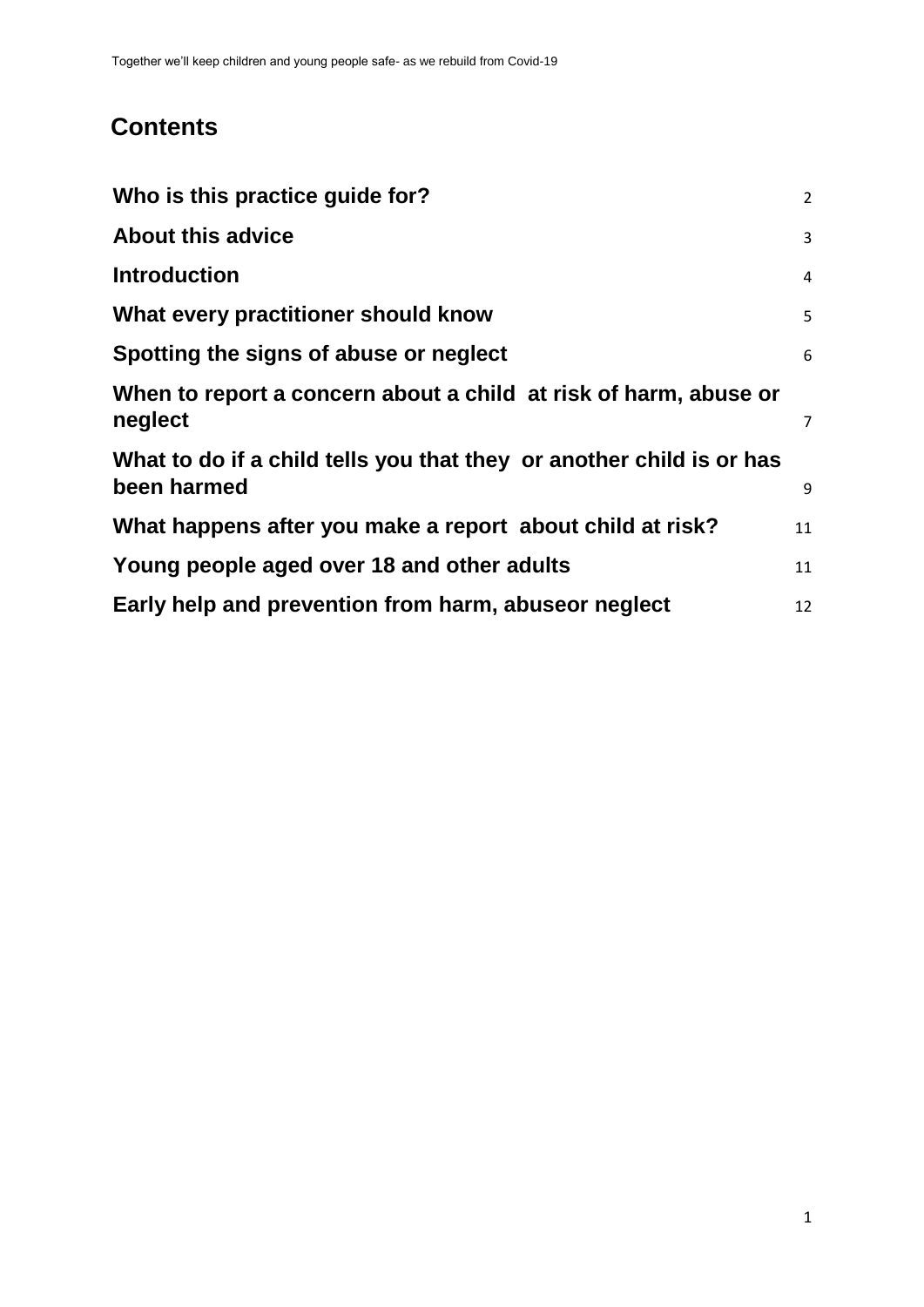### **Contents**

| Who is this practice guide for?                                                     | $2^{\circ}$    |
|-------------------------------------------------------------------------------------|----------------|
| <b>About this advice</b>                                                            | 3              |
| <b>Introduction</b>                                                                 | $\overline{4}$ |
| What every practitioner should know                                                 | 5              |
| Spotting the signs of abuse or neglect                                              | 6              |
| When to report a concern about a child at risk of harm, abuse or<br>neglect         | $\overline{7}$ |
| What to do if a child tells you that they or another child is or has<br>been harmed | 9              |
| What happens after you make a report about child at risk?                           | 11             |
| Young people aged over 18 and other adults                                          | 11             |
| Early help and prevention from harm, abuseor neglect                                | 12             |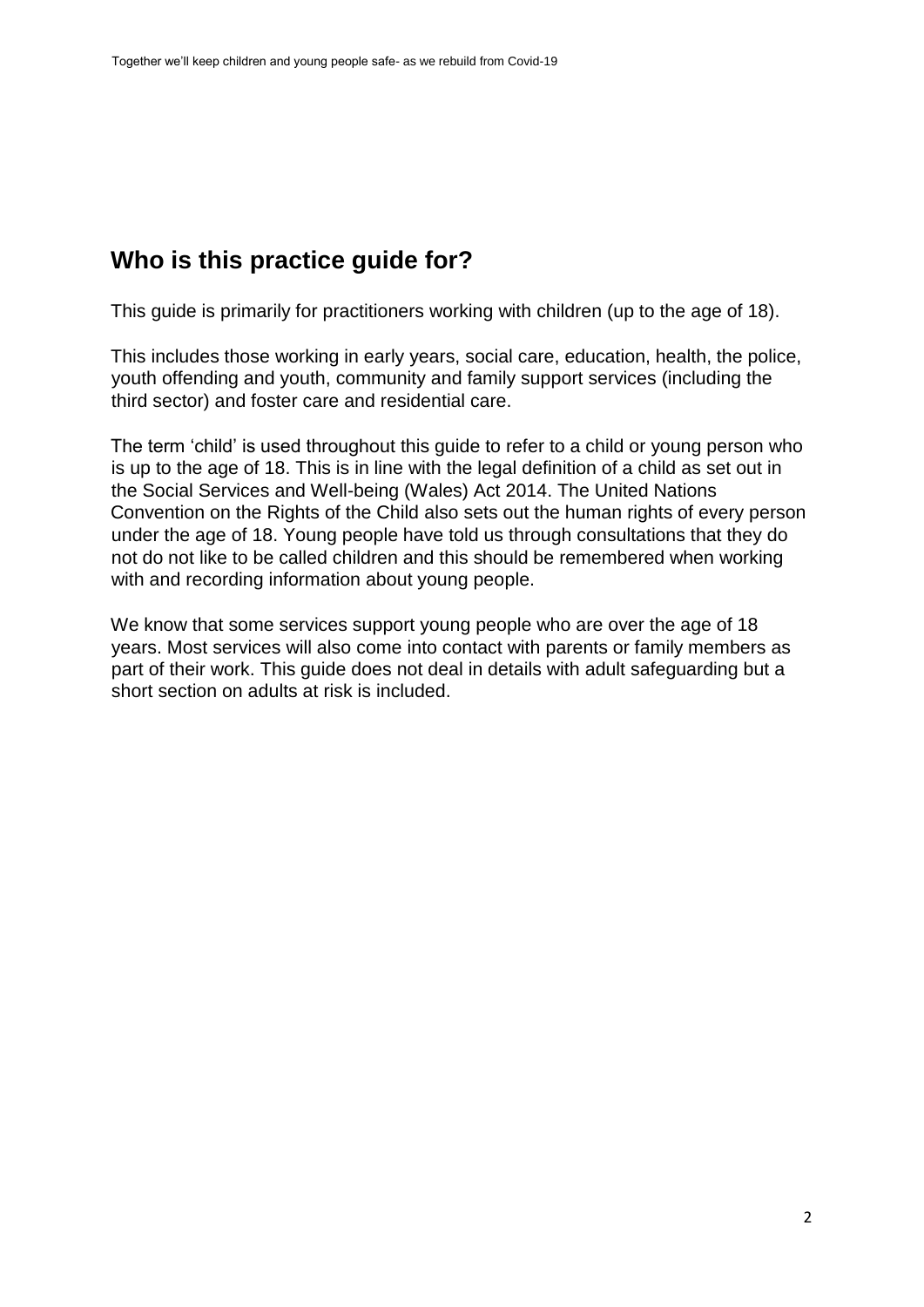### <span id="page-2-0"></span>**Who is this practice guide for?**

This guide is primarily for practitioners working with children (up to the age of 18).

This includes those working in early years, social care, education, health, the police, youth offending and youth, community and family support services (including the third sector) and foster care and residential care.

The term 'child' is used throughout this guide to refer to a child or young person who is up to the age of 18. This is in line with the legal definition of a child as set out in the Social Services and Well-being (Wales) Act 2014. The United Nations Convention on the Rights of the Child also sets out the human rights of every person under the age of 18. Young people have told us through consultations that they do not do not like to be called children and this should be remembered when working with and recording information about young people.

We know that some services support young people who are over the age of 18 years. Most services will also come into contact with parents or family members as part of their work. This guide does not deal in details with adult safeguarding but a short section on adults at risk is included.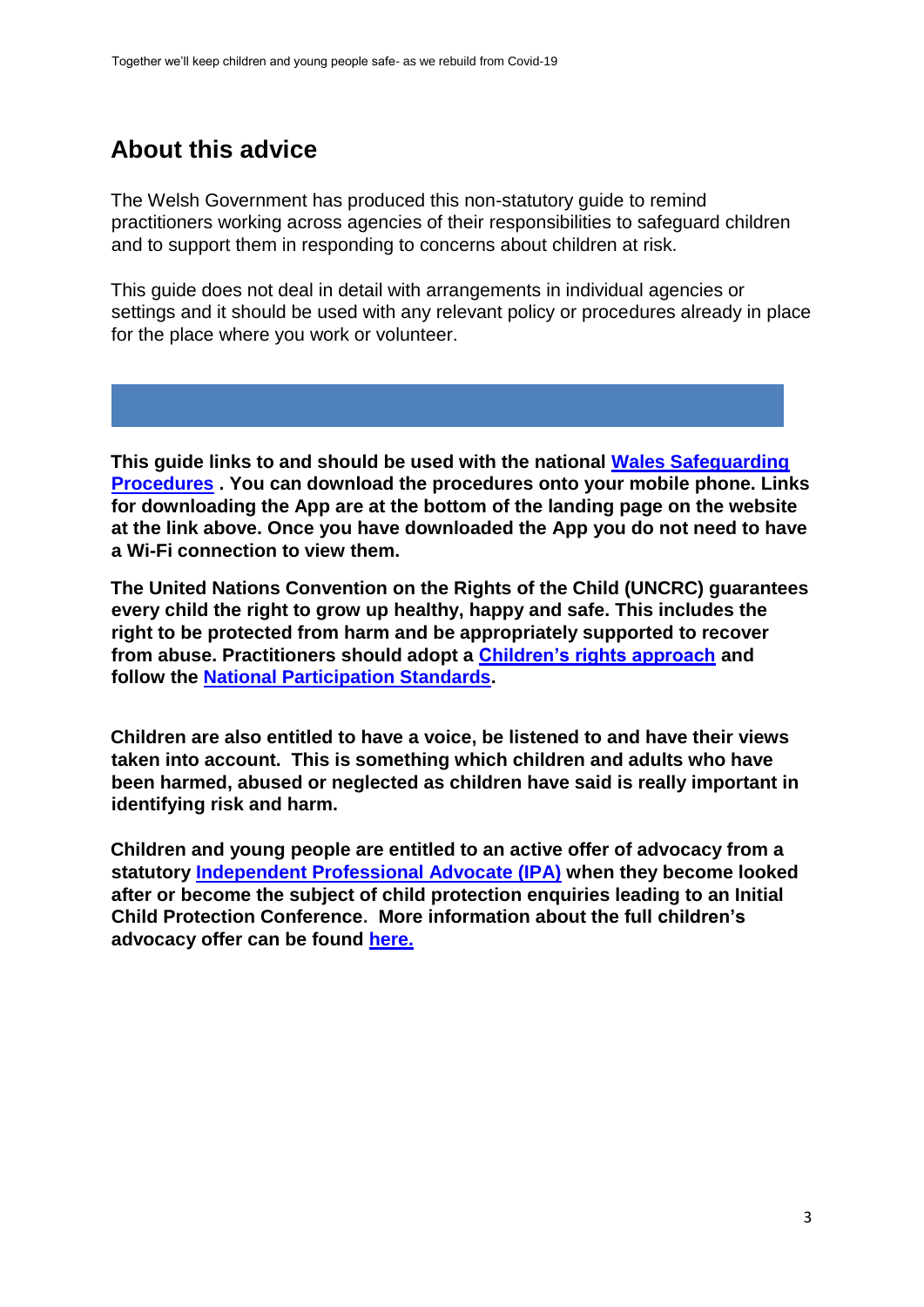### <span id="page-3-0"></span>**About this advice**

The Welsh Government has produced this non-statutory guide to remind practitioners working across agencies of their responsibilities to safeguard children and to support them in responding to concerns about children at risk.

This guide does not deal in detail with arrangements in individual agencies or settings and it should be used with any relevant policy or procedures already in place for the place where you work or volunteer.

**This guide links to and should be used with the nationa[l](https://safeguarding.wales/) [Wales Safeguarding](https://safeguarding.wales/) [Procedures](https://safeguarding.wales/) . You can download the procedures onto your mobile phone. Links for downloading the App are at the bottom of the landing page on the website at the link above. Once you have downloaded the App you do not need to have a Wi-Fi connection to view them.** 

**The United Nations Convention on the Rights of the Child (UNCRC) guarantees every child the right to grow up healthy, happy and safe. This includes the right to be protected from harm and be appropriately supported to recover from abuse. Practitioners should adopt a [Children's rights approach](https://www.childcomwales.org.uk/resources/childrens-rights-approach/right-way-childrens-rights-approach-wales/#:~:text=The%20Right%20Way%3A%20A%20Children) [a](https://www.childcomwales.org.uk/resources/childrens-rights-approach/right-way-childrens-rights-approach-wales/#:~:text=The%20Right%20Way%3A%20A%20Children)nd follow the [National Participation Standards.](http://www.youngwales.wales/images/ParticipationStandards_Poster_9.pdf)** 

**Children are also entitled to have a voice, be listened to and have their views taken into account. This is something which children and adults who have been harmed, abused or neglected as children have said is really important in identifying risk and harm.** 

**Children and young people are entitled to an active offer of advocacy from a statutory [Independent Professional Advocate \(IPA\)](https://gov.wales/sites/default/files/publications/2019-08/national-standards-and-outcomes-framework-for-children-and-young-people-in-wales.pdf) [w](https://gov.wales/sites/default/files/publications/2019-08/national-standards-and-outcomes-framework-for-children-and-young-people-in-wales.pdf)hen they become looked after or become the subject of child protection enquiries leading to an Initial Child Protection Conference. More information about the full children's advocacy offer can be found [here.](https://gov.wales/sites/default/files/publications/2019-12/social-services-and--well-being-wales-act-2014-part-10-code-of-practice-advocacy.pdf)**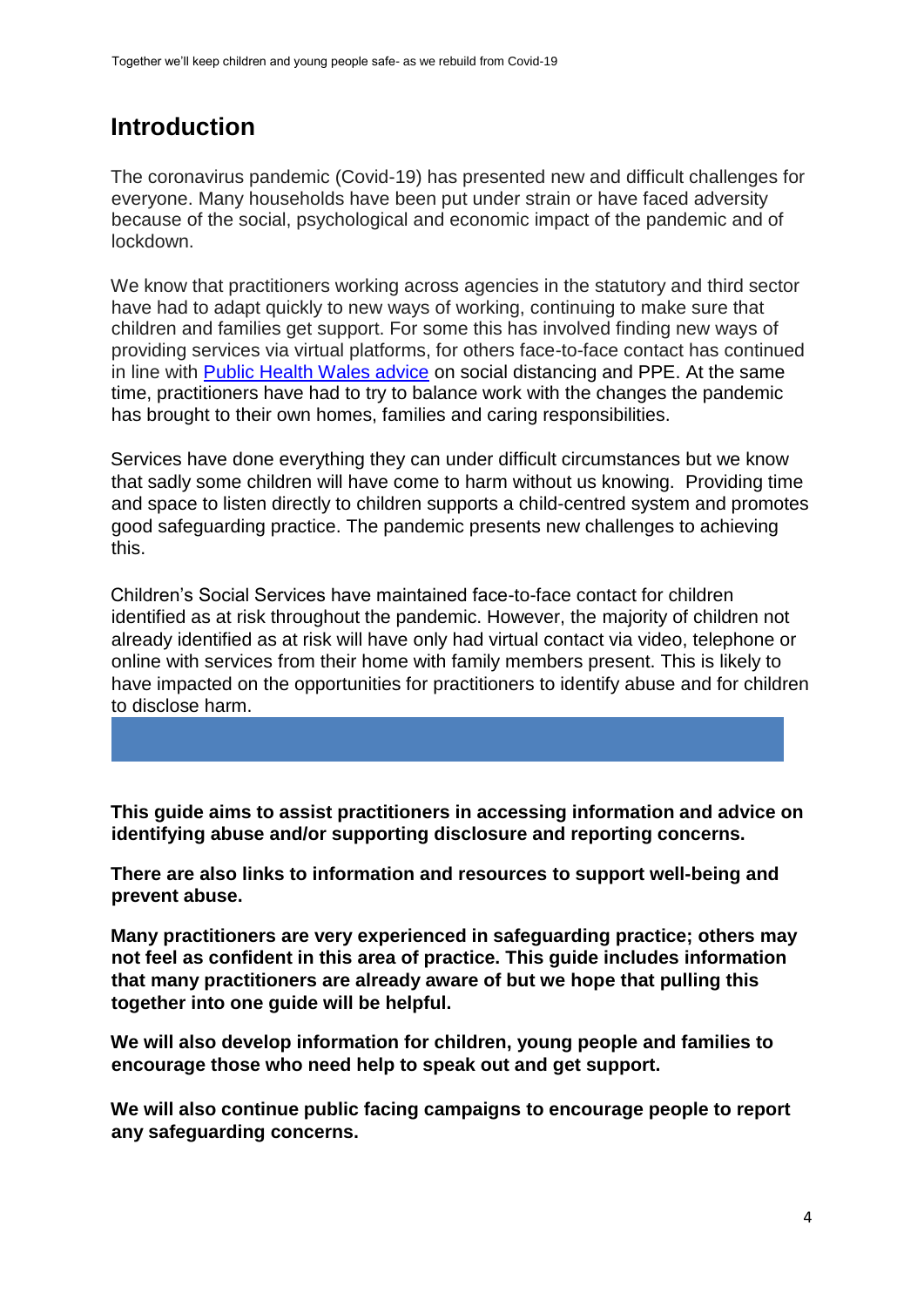### <span id="page-4-0"></span>**Introduction**

The coronavirus pandemic (Covid-19) has presented new and difficult challenges for everyone. Many households have been put under strain or have faced adversity because of the social, psychological and economic impact of the pandemic and of lockdown.

We know that practitioners working across agencies in the statutory and third sector have had to adapt quickly to new ways of working, continuing to make sure that children and families get support. For some this has involved finding new ways of providing services via virtual platforms, for others face-to-face contact has continued in line with [Public Health Wales advice](https://phw.nhs.wales/topics/latest-information-on-novel-coronavirus-covid-19/) on social distancing and PPE. At the same time, practitioners have had to try to balance work with the changes the pandemic has brought to their own homes, families and caring responsibilities.

Services have done everything they can under difficult circumstances but we know that sadly some children will have come to harm without us knowing. Providing time and space to listen directly to children supports a child-centred system and promotes good safeguarding practice. The pandemic presents new challenges to achieving this.

Children's Social Services have maintained face-to-face contact for children identified as at risk throughout the pandemic. However, the majority of children not already identified as at risk will have only had virtual contact via video, telephone or online with services from their home with family members present. This is likely to have impacted on the opportunities for practitioners to identify abuse and for children to disclose harm.

**This guide aims to assist practitioners in accessing information and advice on identifying abuse and/or supporting disclosure and reporting concerns.** 

**There are also links to information and resources to support well-being and prevent abuse.** 

**Many practitioners are very experienced in safeguarding practice; others may not feel as confident in this area of practice. This guide includes information that many practitioners are already aware of but we hope that pulling this together into one guide will be helpful.** 

**We will also develop information for children, young people and families to encourage those who need help to speak out and get support.**

**We will also continue public facing campaigns to encourage people to report any safeguarding concerns.**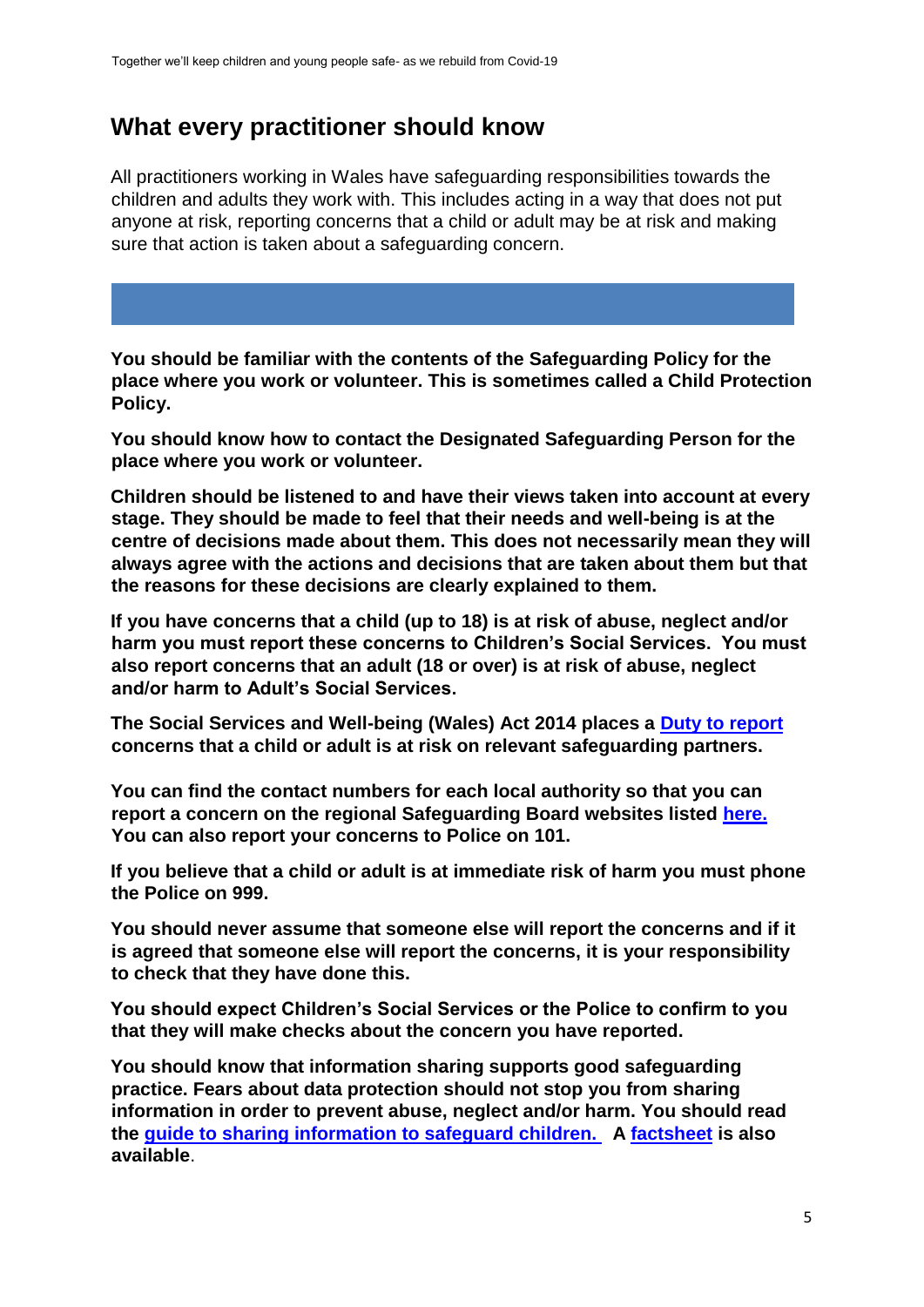### <span id="page-5-0"></span>**What every practitioner should know**

All practitioners working in Wales have safeguarding responsibilities towards the children and adults they work with. This includes acting in a way that does not put anyone at risk, reporting concerns that a child or adult may be at risk and making sure that action is taken about a safeguarding concern.

**You should be familiar with the contents of the Safeguarding Policy for the place where you work or volunteer. This is sometimes called a Child Protection Policy.** 

**You should know how to contact the Designated Safeguarding Person for the place where you work or volunteer.** 

**Children should be listened to and have their views taken into account at every stage. They should be made to feel that their needs and well-being is at the centre of decisions made about them. This does not necessarily mean they will always agree with the actions and decisions that are taken about them but that the reasons for these decisions are clearly explained to them.** 

**If you have concerns that a child (up to 18) is at risk of abuse, neglect and/or harm you must report these concerns to Children's Social Services. You must also report concerns that an adult (18 or over) is at risk of abuse, neglect and/or harm to Adult's Social Services.** 

**The Social Services and Well-being (Wales) Act 2014 places a [Duty to report](https://www.safeguarding.wales/chi/index.c2.html) concerns that a child or adult is at risk on relevant safeguarding partners.**

**You can find the contact numbers for each local authority so that you can report a concern on the regional Safeguarding Board websites listed [here.](https://gov.wales/safe-help/keeping-people-safe) You can also report your concerns to Police on 101.** 

**If you believe that a child or adult is at immediate risk of harm you must phone the Police on 999.** 

**You should never assume that someone else will report the concerns and if it is agreed that someone else will report the concerns, it is your responsibility to check that they have done this.** 

**You should expect Children's Social Services or the Police to confirm to you that they will make checks about the concern you have reported.** 

**You should know that information sharing supports good safeguarding practice. Fears about data protection should not stop you from sharing information in order to prevent abuse, neglect and/or harm. You should read the [guide to sharing information to safeguard children.](https://gov.wales/sharing-information-safeguard-children) A [factsheet](https://gov.wales/sharing-information-safeguard-people-factsheet) [i](https://gov.wales/sharing-information-safeguard-people-factsheet)s also available**.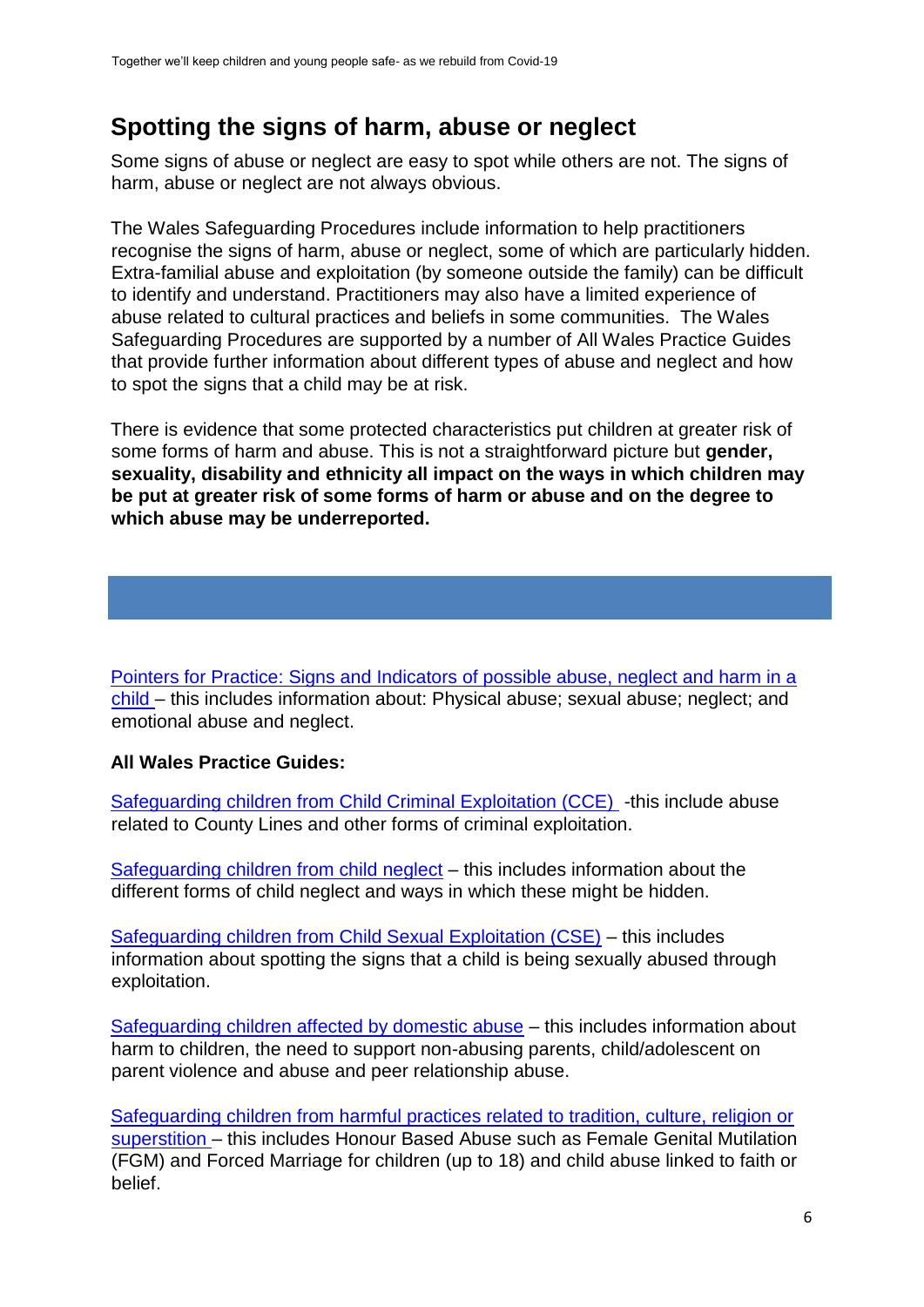### <span id="page-6-0"></span>**Spotting the signs of harm, abuse or neglect**

Some signs of abuse or neglect are easy to spot while others are not. The signs of harm, abuse or neglect are not always obvious.

The Wales Safeguarding Procedures include information to help practitioners recognise the signs of harm, abuse or neglect, some of which are particularly hidden. Extra-familial abuse and exploitation (by someone outside the family) can be difficult to identify and understand. Practitioners may also have a limited experience of abuse related to cultural practices and beliefs in some communities. The Wales Safeguarding Procedures are supported by a number of All Wales Practice Guides that provide further information about different types of abuse and neglect and how to spot the signs that a child may be at risk.

There is evidence that some protected characteristics put children at greater risk of some forms of harm and abuse. This is not a straightforward picture but **gender, sexuality, disability and ethnicity all impact on the ways in which children may be put at greater risk of some forms of harm or abuse and on the degree to which abuse may be underreported.** 

[Pointers for Practice: Signs and Indicators of possible abuse, neglect and harm in a](https://www.safeguarding.wales/chi/cp/c1p.p2.html) [child –](https://www.safeguarding.wales/chi/cp/c1p.p2.html) this includes information about: Physical abuse; sexual abuse; neglect; and emotional abuse and neglect.

#### **All Wales Practice Guides:**

[Safeguarding children from Child Criminal Exploitation \(CCE\) -](https://www.safeguarding.wales/chi/c6/c6.p1.html)this include abuse related to County Lines and other forms of criminal exploitation.

[Safeguarding children from child neglect](https://www.safeguarding.wales/chi/c6/c6.p5.html) – this includes information about the different forms of child neglect and ways in which these might be hidden.

[Safeguarding children from Child Sexual Exploitation \(CSE\)](https://www.safeguarding.wales/chi/c6/c6.p10.html) – this includes information about spotting the signs that a child is being sexually abused through exploitation.

[Safeguarding children affected by domestic abuse](https://www.safeguarding.wales/chi/c6/c6.p4.html) – this includes information about harm to children, the need to support non-abusing parents, child/adolescent on parent violence and abuse and peer relationship abuse.

[Safeguarding children from harmful practices related to tradition, culture, religion or](https://www.safeguarding.wales/chi/c6/c6.p2.html) [superstition –](https://www.safeguarding.wales/chi/c6/c6.p2.html) this includes Honour Based Abuse such as Female Genital Mutilation (FGM) and Forced Marriage for children (up to 18) and child abuse linked to faith or belief.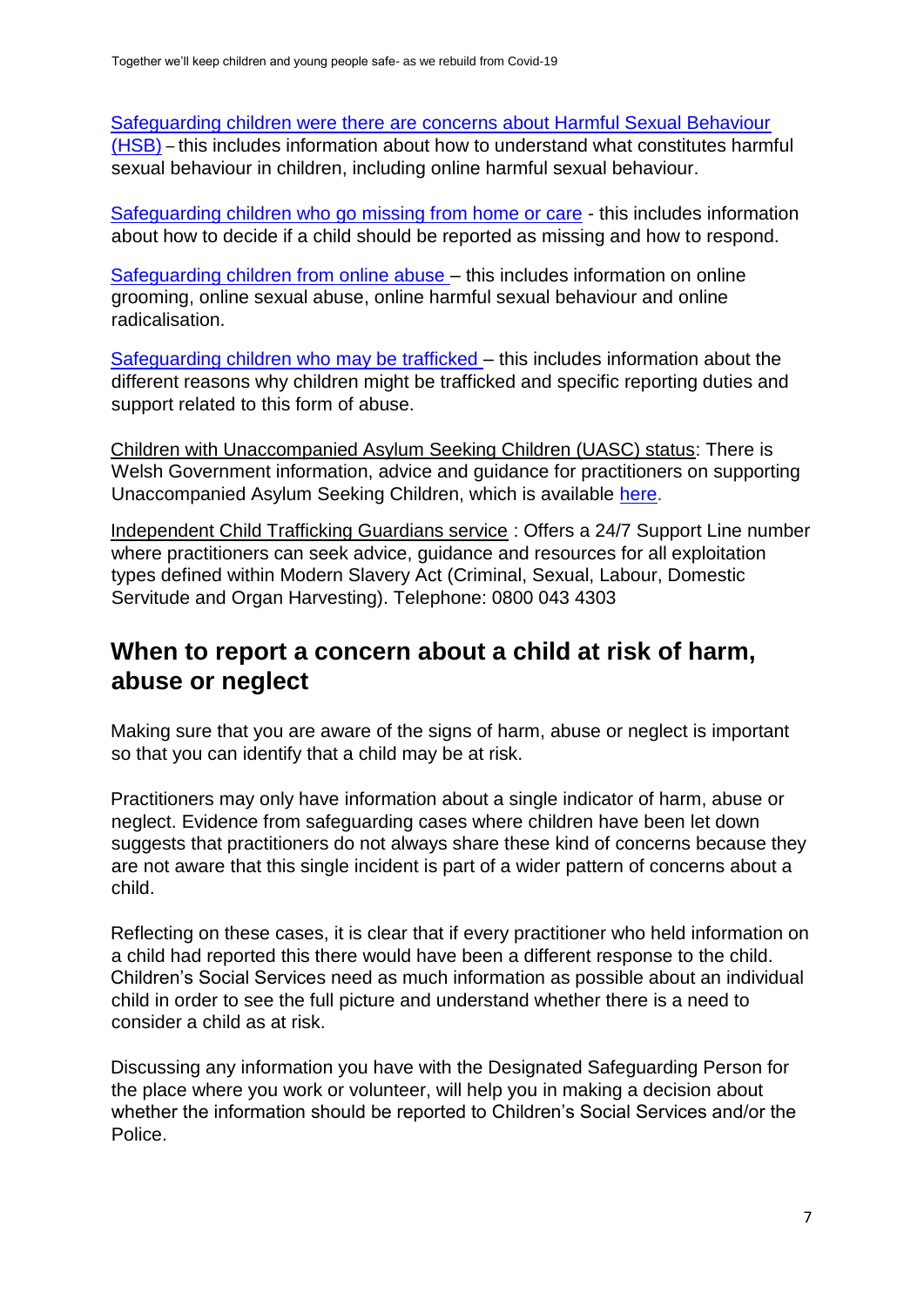[Safeguarding children were there are concerns about Harmful Sexual Behaviour](https://www.safeguarding.wales/chi/c6/c6.p7.html) [\(HSB\)](https://www.safeguarding.wales/chi/c6/c6.p7.html) – this includes information about how to understand what constitutes harmful sexual behaviour in children, including online harmful sexual behaviour.

[Safeguarding children who go missing from home or care](https://www.safeguarding.wales/chi/c6/c6.p9.html-) - this includes information about how to decide if a child should be reported as missing and how to respond.

[Safeguarding children from online abuse –](https://www.safeguarding.wales/chi/c6/c6.p6.html) this includes information on online grooming, online sexual abuse, online harmful sexual behaviour and online radicalisation.

[Safeguarding children who may be trafficked –](https://www.safeguarding.wales/chi/c6/c6.p3.html) this includes information about the different reasons why children might be trafficked and specific reporting duties and support related to this form of abuse.

Children with Unaccompanied Asylum Seeking Children (UASC) status: There is Welsh Government information, advice and guidance for practitioners on supporting Unaccompanied Asylum Seeking Children, which is available [here.](https://gov.wales/unaccompanied-asylum-seeking-children-guidance-professionals)

Independent Child Trafficking Guardians service : Offers a 24/7 Support Line number where practitioners can seek advice, guidance and resources for all exploitation types defined within Modern Slavery Act (Criminal, Sexual, Labour, Domestic Servitude and Organ Harvesting). Telephone: 0800 043 4303

### <span id="page-7-0"></span>**When to report a concern about a child at risk of harm, abuse or neglect**

Making sure that you are aware of the signs of harm, abuse or neglect is important so that you can identify that a child may be at risk.

Practitioners may only have information about a single indicator of harm, abuse or neglect. Evidence from safeguarding cases where children have been let down suggests that practitioners do not always share these kind of concerns because they are not aware that this single incident is part of a wider pattern of concerns about a child.

Reflecting on these cases, it is clear that if every practitioner who held information on a child had reported this there would have been a different response to the child. Children's Social Services need as much information as possible about an individual child in order to see the full picture and understand whether there is a need to consider a child as at risk.

Discussing any information you have with the Designated Safeguarding Person for the place where you work or volunteer, will help you in making a decision about whether the information should be reported to Children's Social Services and/or the Police.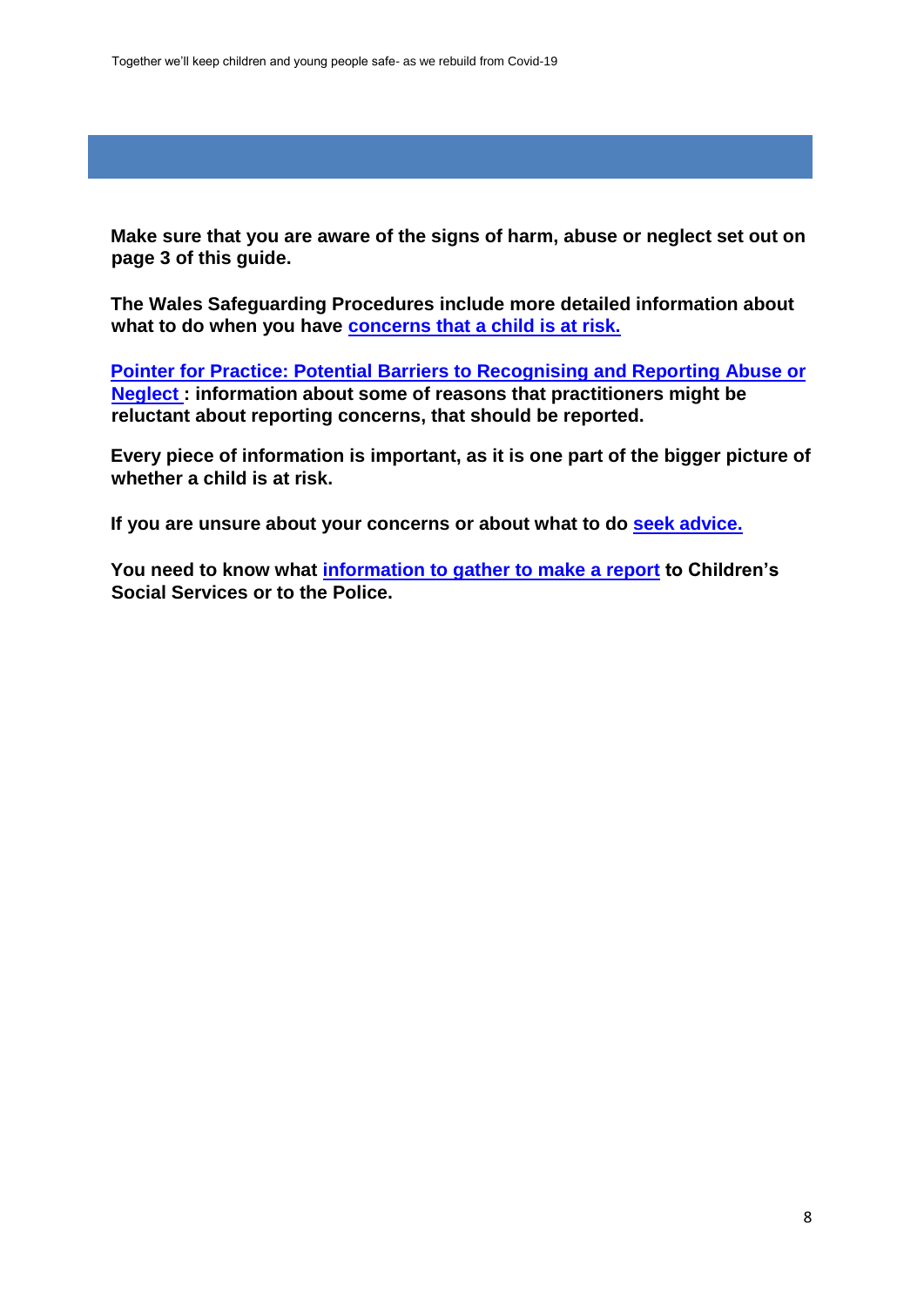**Make sure that you are aware of the signs of harm, abuse or neglect set out on page 3 of this guide.** 

**The Wales Safeguarding Procedures include more detailed information about what to do when you have [concerns that a child is at risk.](https://www.safeguarding.wales/chi/c2/c2.p1.html)** 

**[Pointer for Practice: Potential Barriers to Recognising and Reporting Abuse or](https://www.safeguarding.wales/chi/cp/c2p.p1.html) [Neglect :](https://www.safeguarding.wales/chi/cp/c2p.p1.html) information about some of reasons that practitioners might be reluctant about reporting concerns, that should be reported.** 

**Every piece of information is important, as it is one part of the bigger picture of whether a child is at risk.** 

**If you are unsure about your concerns or about what to d[o](https://www.safeguarding.wales/chi/c2/c2.p13.html) [seek advice.](https://www.safeguarding.wales/chi/c2/c2.p13.html)**

**You need to know what [information to gather to make a report](https://www.safeguarding.wales/chi/c2/c2.p17.html) to Children's Social Services or to the Police.**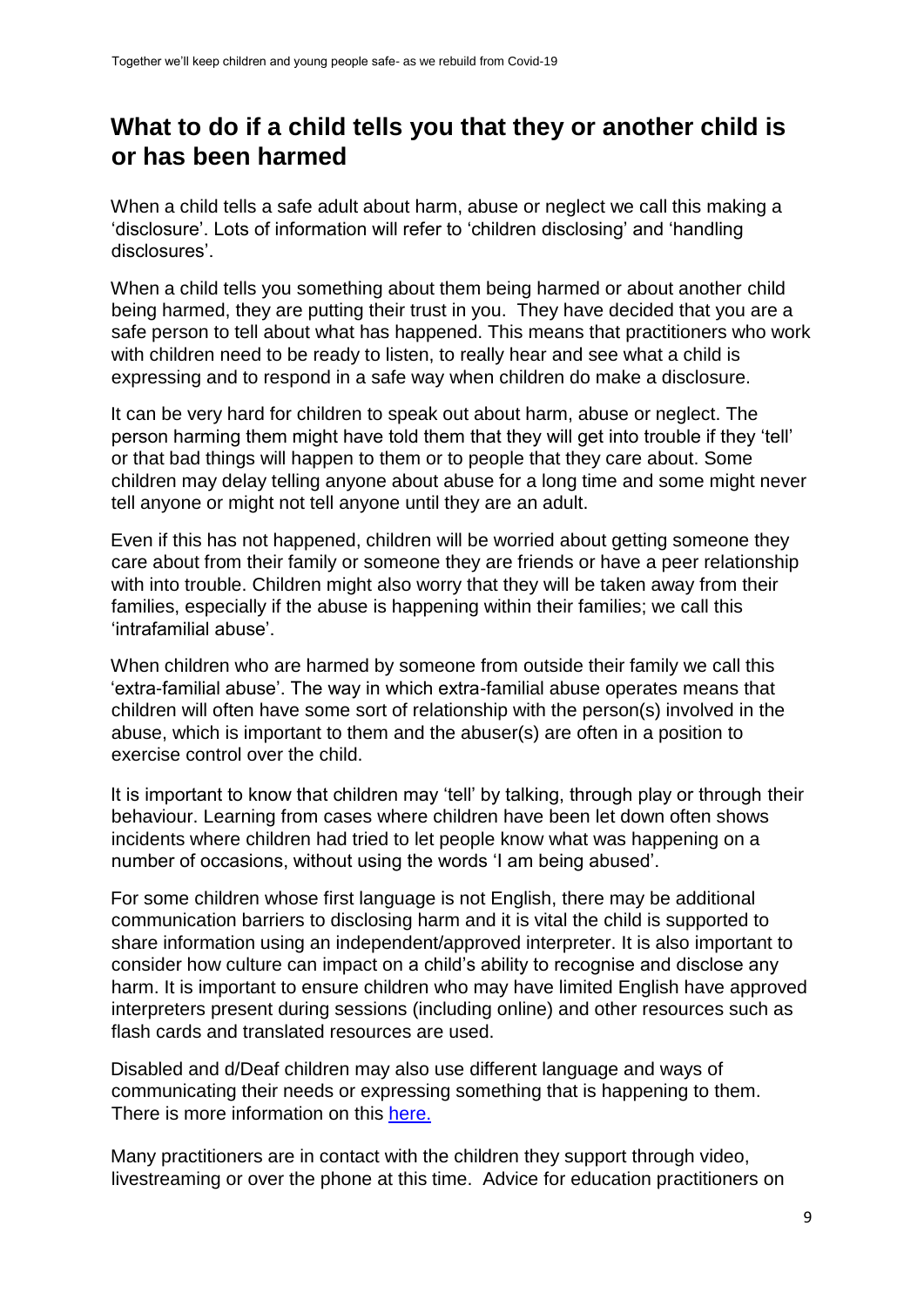### <span id="page-9-0"></span>**What to do if a child tells you that they or another child is or has been harmed**

When a child tells a safe adult about harm, abuse or neglect we call this making a 'disclosure'. Lots of information will refer to 'children disclosing' and 'handling disclosures'.

When a child tells you something about them being harmed or about another child being harmed, they are putting their trust in you. They have decided that you are a safe person to tell about what has happened. This means that practitioners who work with children need to be ready to listen, to really hear and see what a child is expressing and to respond in a safe way when children do make a disclosure.

It can be very hard for children to speak out about harm, abuse or neglect. The person harming them might have told them that they will get into trouble if they 'tell' or that bad things will happen to them or to people that they care about. Some children may delay telling anyone about abuse for a long time and some might never tell anyone or might not tell anyone until they are an adult.

Even if this has not happened, children will be worried about getting someone they care about from their family or someone they are friends or have a peer relationship with into trouble. Children might also worry that they will be taken away from their families, especially if the abuse is happening within their families; we call this 'intrafamilial abuse'.

When children who are harmed by someone from outside their family we call this 'extra-familial abuse'. The way in which extra-familial abuse operates means that children will often have some sort of relationship with the person(s) involved in the abuse, which is important to them and the abuser(s) are often in a position to exercise control over the child.

It is important to know that children may 'tell' by talking, through play or through their behaviour. Learning from cases where children have been let down often shows incidents where children had tried to let people know what was happening on a number of occasions, without using the words 'I am being abused'.

For some children whose first language is not English, there may be additional communication barriers to disclosing harm and it is vital the child is supported to share information using an independent/approved interpreter. It is also important to consider how culture can impact on a child's ability to recognise and disclose any harm. It is important to ensure children who may have limited English have approved interpreters present during sessions (including online) and other resources such as flash cards and translated resources are used.

Disabled and d/Deaf children may also use different language and ways of communicating their needs or expressing something that is happening to them. There is more information on this [here.](https://learning.nspcc.org.uk/safeguarding-child-protection/deaf-and-disabled-children)

Many practitioners are in contact with the children they support through video, livestreaming or over the phone at this time. Advice for education practitioners on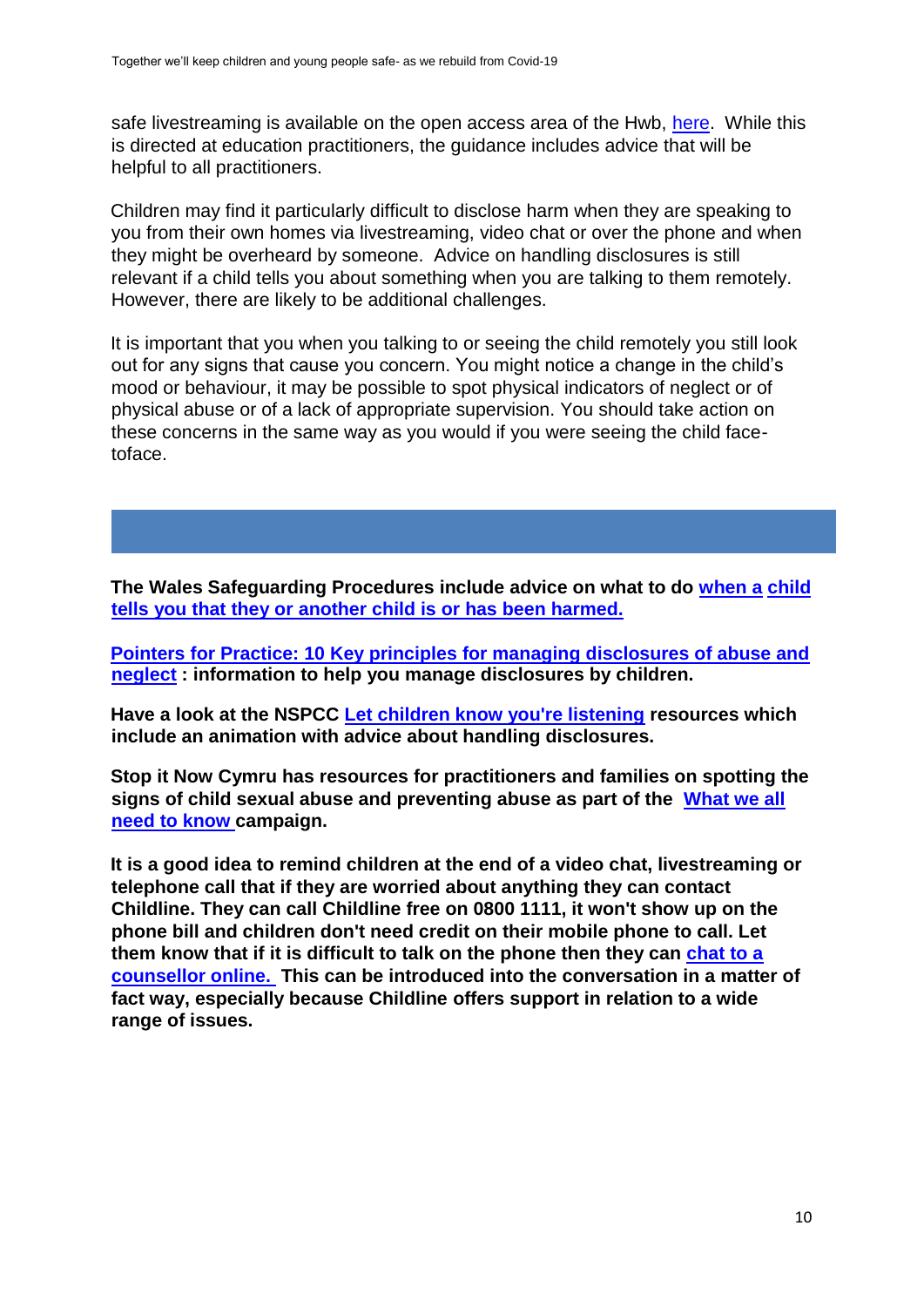safe livestreaming is available on the open access area of the Hwb, [here.](https://hwb.gov.wales/zones/online-safety/live-streaming-safeguarding-principles-and-practice-for-education-practitioners) While this is directed at education practitioners, the guidance includes advice that will be helpful to all practitioners.

Children may find it particularly difficult to disclose harm when they are speaking to you from their own homes via livestreaming, video chat or over the phone and when they might be overheard by someone. Advice on handling disclosures is still relevant if a child tells you about something when you are talking to them remotely. However, there are likely to be additional challenges.

It is important that you when you talking to or seeing the child remotely you still look out for any signs that cause you concern. You might notice a change in the child's mood or behaviour, it may be possible to spot physical indicators of neglect or of physical abuse or of a lack of appropriate supervision. You should take action on these concerns in the same way as you would if you were seeing the child facetoface.

**The Wales Safeguarding Procedures include advice on what to do [when a](https://safeguarding.wales/chi/c2/c2.p11.html) [child](https://safeguarding.wales/chi/c2/c2.p11.html)  [tells you that they or another child is or has been harmed.](https://safeguarding.wales/chi/c2/c2.p11.html)** 

**[Pointers for Practice: 10 Key principles for managing disclosures of abuse and](https://www.safeguarding.wales/chi/cp/c2p.p2.html) [neglect](https://www.safeguarding.wales/chi/cp/c2p.p2.html) : information to help you manage disclosures by children.** 

**Have a look at the NSPCC [Let children know you're listening](https://learning.nspcc.org.uk/research-resources/2019/let-children-know-you-re-listening) resources which include an animation with advice about handling disclosures.** 

**Stop it Now Cymru has resources for practitioners and families on spotting the signs of child sexual abuse and preventing abuse as part of the [What we all](https://www.stopitnow.org.uk/wales/what-we-all-need-to-know/) [need to know ca](https://www.stopitnow.org.uk/wales/what-we-all-need-to-know/)mpaign.**

**It is a good idea to remind children at the end of a video chat, livestreaming or telephone call that if they are worried about anything they can contact Childline. They can call Childline free on 0800 1111, it won't show up on the phone bill and children don't need credit on their mobile phone to call. Let them know that if it is difficult to talk on the phone then they can [chat to a](https://www.childline.org.uk/get-support/1-2-1-counsellor-chat/) [counsellor online. T](https://www.childline.org.uk/get-support/1-2-1-counsellor-chat/)his can be introduced into the conversation in a matter of fact way, especially because Childline offers support in relation to a wide range of issues.**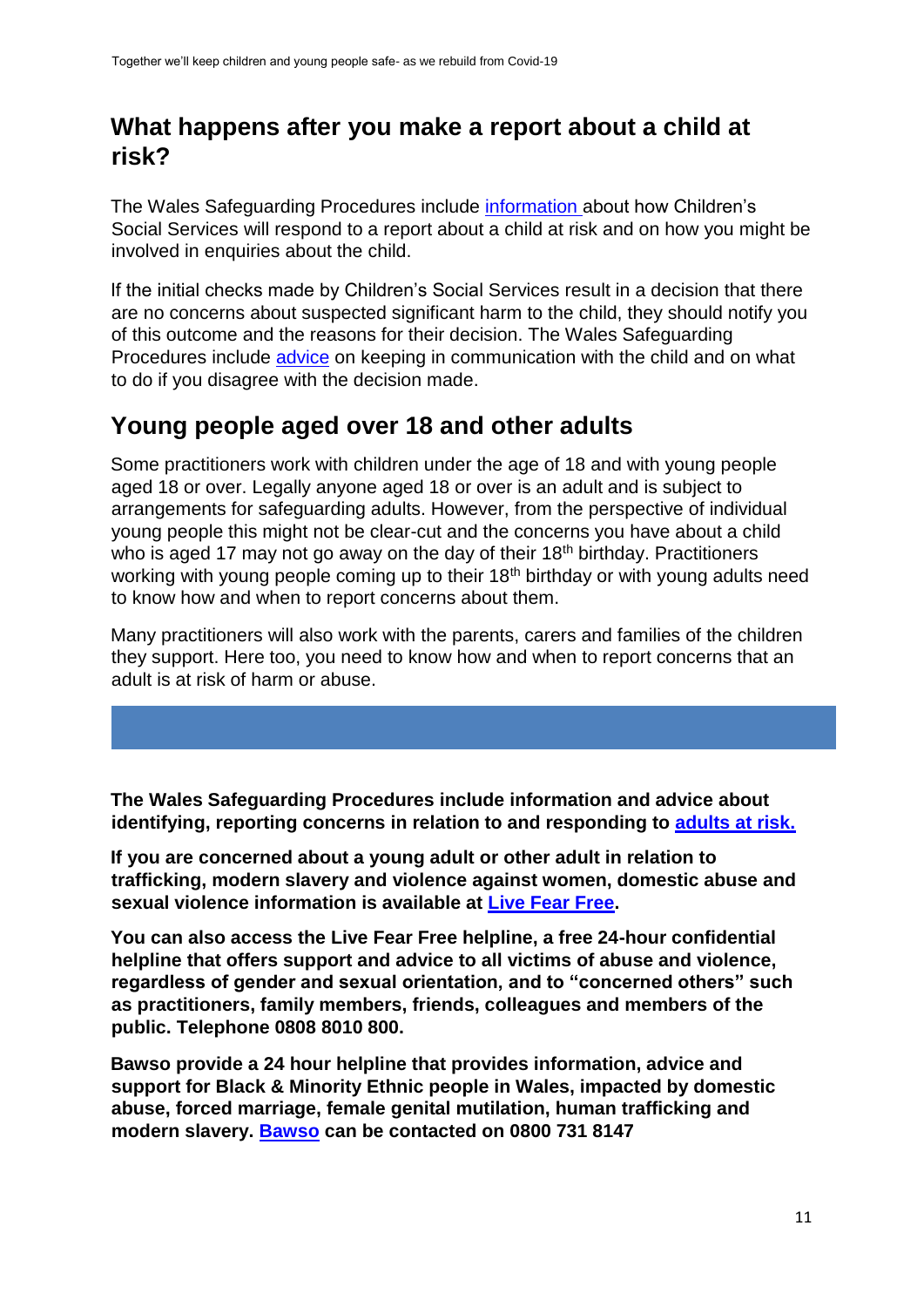### <span id="page-11-0"></span>**What happens after you make a report about a child at risk?**

The Wales Safeguarding Procedures include [information ab](https://safeguarding.wales/chi/index.c3pt1.html)out how Children's Social Services will respond to a report about a child at risk and on how you might be involved in enquiries about the child.

If the initial checks made by Children's Social Services result in a decision that there are no concerns about suspected significant harm to the child, they should notify you of this outcome and the reasons for their decision. The Wales Safeguarding Procedures include [advice](https://www.safeguarding.wales/chi/c3pt1/c3pt1.p6.html) on keeping in communication with the child and on what to do if you disagree with the decision made.

### <span id="page-11-1"></span>**Young people aged over 18 and other adults**

Some practitioners work with children under the age of 18 and with young people aged 18 or over. Legally anyone aged 18 or over is an adult and is subject to arrangements for safeguarding adults. However, from the perspective of individual young people this might not be clear-cut and the concerns you have about a child who is aged 17 may not go away on the day of their  $18<sup>th</sup>$  birthday. Practitioners working with young people coming up to their 18<sup>th</sup> birthday or with young adults need to know how and when to report concerns about them.

Many practitioners will also work with the parents, carers and families of the children they support. Here too, you need to know how and when to report concerns that an adult is at risk of harm or abuse.

**The Wales Safeguarding Procedures include information and advice about identifying, reporting concerns in relation to and responding to [adults at risk.](https://www.safeguarding.wales/adu/)**

**If you are concerned about a young adult or other adult in relation to trafficking, modern slavery and violence against women, domestic abuse and sexual violence information is available at [Live Fear Free.](https://gov.wales/live-fear-free)** 

**You can also access the Live Fear Free helpline, a free 24-hour confidential helpline that offers support and advice to all victims of abuse and violence, regardless of gender and sexual orientation, and to "concerned others" such as practitioners, family members, friends, colleagues and members of the public. Telephone 0808 8010 800.** 

**Bawso provide a 24 hour helpline that provides information, advice and support for Black & Minority Ethnic people in Wales, impacted by domestic abuse, forced marriage, female genital mutilation, human trafficking and modern slavery. [Bawso](https://eur01.safelinks.protection.outlook.com/?url=https%3A%2F%2Fbawso.org.uk%2F&data=02%7C01%7CSam.Clutton%40gov.wales%7Cbe0f8516abd54d83458b08d819150d63%7Ca2cc36c592804ae78887d06dab89216b%7C0%7C0%7C637286925494435447&sdata=IbnJ%2FfZQbj4U04J0x7lg3zvwWdwnAMuGRYCiRZHr%2BH4%3D&reserved=0) can be contacted on 0800 731 8147**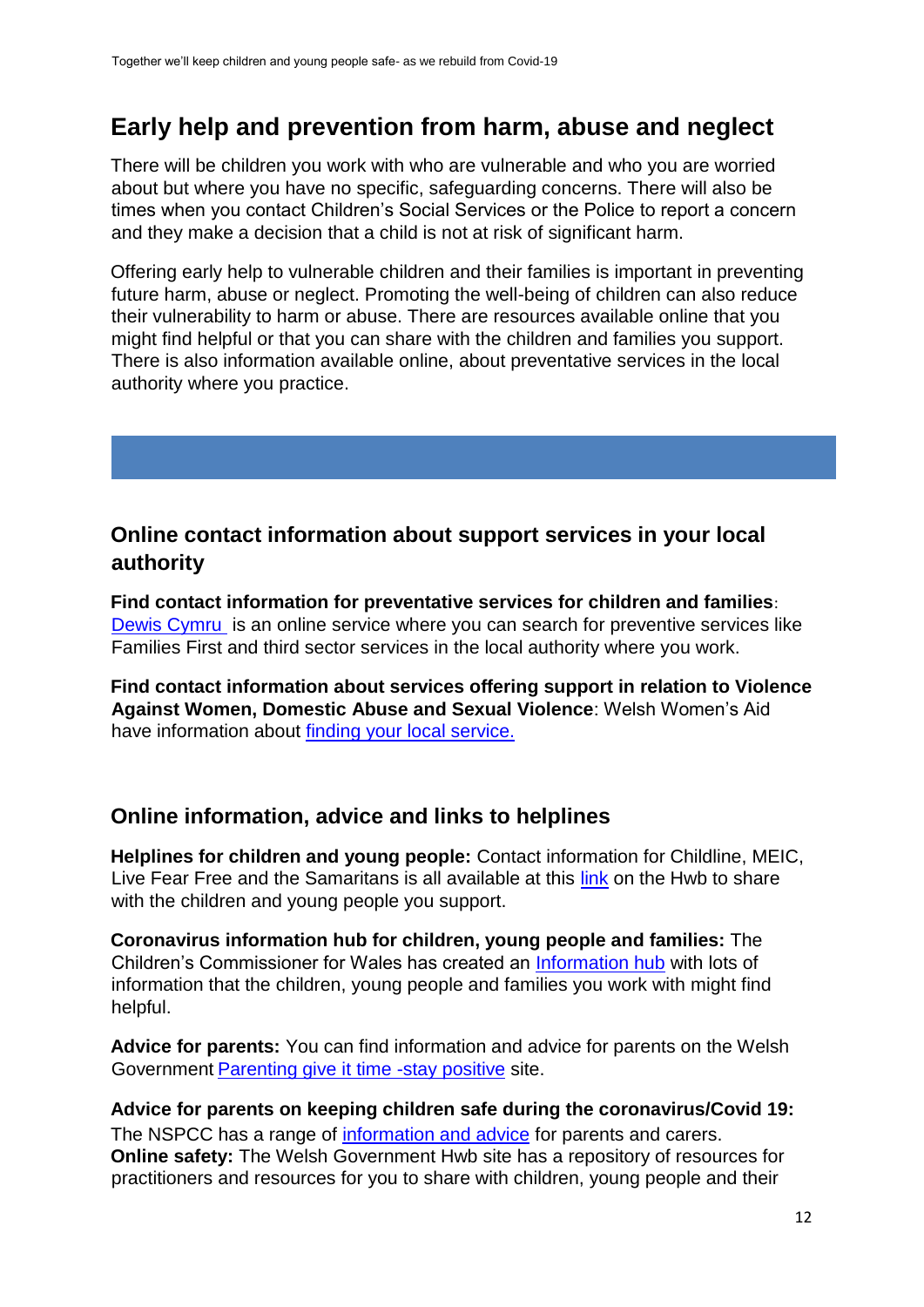### <span id="page-12-0"></span>**Early help and prevention from harm, abuse and neglect**

There will be children you work with who are vulnerable and who you are worried about but where you have no specific, safeguarding concerns. There will also be times when you contact Children's Social Services or the Police to report a concern and they make a decision that a child is not at risk of significant harm.

Offering early help to vulnerable children and their families is important in preventing future harm, abuse or neglect. Promoting the well-being of children can also reduce their vulnerability to harm or abuse. There are resources available online that you might find helpful or that you can share with the children and families you support. There is also information available online, about preventative services in the local authority where you practice.

#### **Online contact information about support services in your local authority**

**Find contact information for preventative services for children and families**: [Dewis Cymru i](https://www.dewis.wales/)s an online service where you can search for preventive services like Families First and third sector services in the local authority where you work.

**Find contact information about services offering support in relation to Violence Against Women, Domestic Abuse and Sexual Violence**: Welsh Women's Aid have information about [finding your local service.](https://www.welshwomensaid.org.uk/information-and-support/find-your-local-service/)

#### **Online information, advice and links to helplines**

**Helplines for children and young people:** Contact information for Childline, MEIC, Live Fear Free and the Samaritans is all available at this [link](https://hwb.gov.wales/zones/online-safety/feeling-worried-need-information-want-advice/) on the Hwb to share with the children and young people you support.

**Coronavirus information hub for children, young people and families:** The Children's Commissioner for Wales has created an [Information hub](https://www.childcomwales.org.uk/coronavirus/) with lots of information that the children, young people and families you work with might find helpful.

**Advice for parents:** You can find information and advice for parents on the Welsh Government [Parenting give it time -stay positive](https://gov.wales/parenting-give-it-time/stay-positive) site.

**Advice for parents on keeping children safe during the coronavirus/Covid 19:**  The NSPCC has a range o[f](https://www.nspcc.org.uk/keeping-children-safe/coronavirus-advice-suppport-children-families-parents/) [information and advice](https://www.nspcc.org.uk/keeping-children-safe/coronavirus-advice-suppport-children-families-parents/) for parents and carers. **Online safety:** The Welsh Government Hwb site has a repository of resources for practitioners and resources for you to share with children, young people and their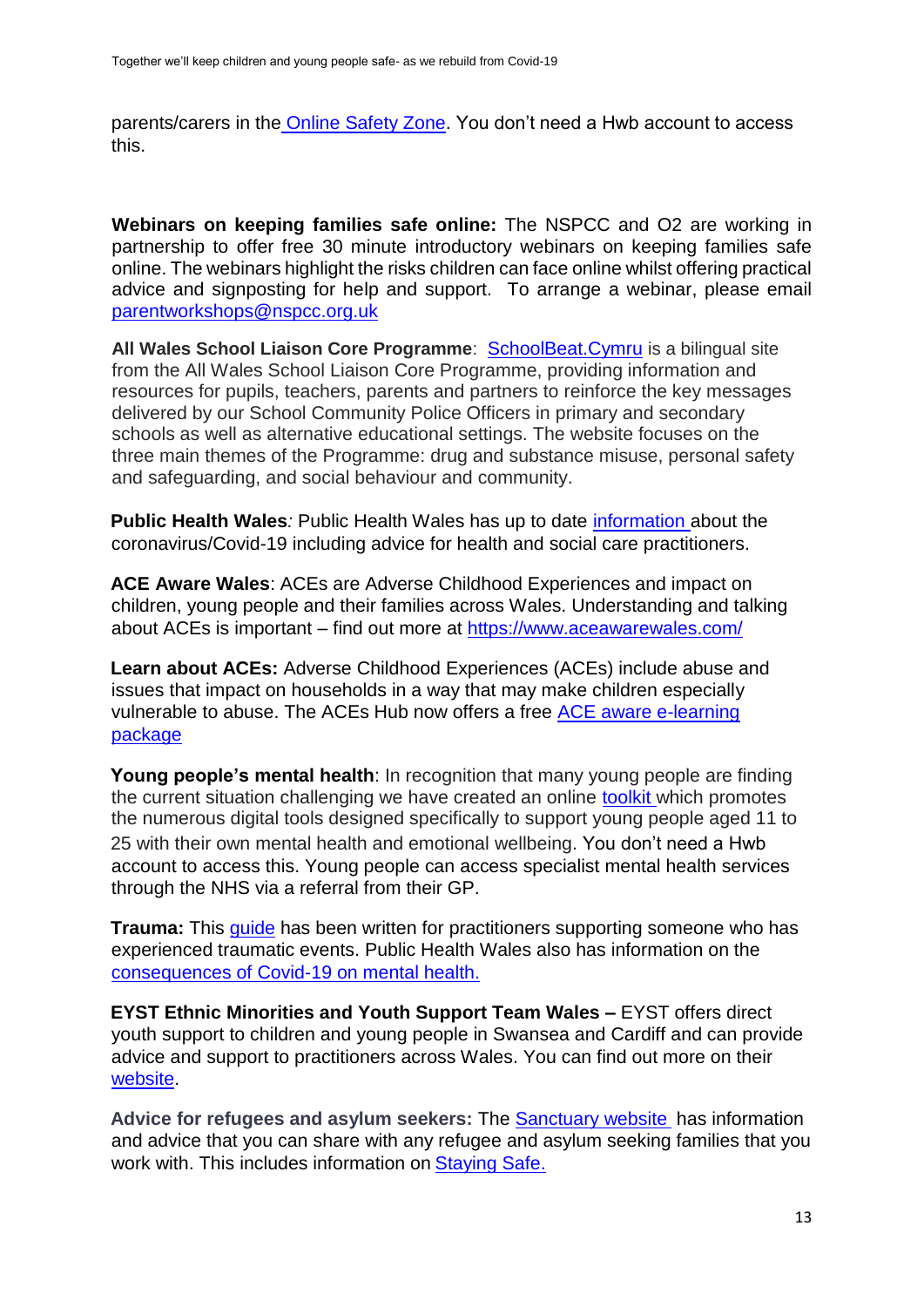parents/carers in the [Online Safety Zone.](https://hwb.gov.wales/zones/online-safety/key-information/) You don't need a Hwb account to access this.

**Webinars on keeping families safe online:** The NSPCC and O2 are working in partnership to offer free 30 minute introductory webinars on keeping families safe online. The webinars highlight the risks children can face online whilst offering practical advice and signposting for help and support. To arrange a webinar, please email parentworkshops@nspcc.org.uk

**All Wales School Liaison Core Programme**: [SchoolBeat.Cymru](https://schoolbeat.cymru/) [i](https://schoolbeat.cymru/)s a bilingual site from the All Wales School Liaison Core Programme, providing information and resources for pupils, teachers, parents and partners to reinforce the key messages delivered by our School Community Police Officers in primary and secondary schools as well as alternative educational settings. The website focuses on the three main themes of the Programme: drug and substance misuse, personal safety and safeguarding, and social behaviour and community.

**Public Health Wales***:* Public Health Wales has up to date [information ab](https://phw.nhs.wales/topics/latest-information-on-novel-coronavirus-covid-19/)out the coronavirus/Covid-19 including advice for health and social care practitioners.

**ACE Aware Wales**: ACEs are Adverse Childhood Experiences and impact on children, young people and their families across Wales. Understanding and talking about ACEs is important – find out more at<https://www.aceawarewales.com/>

**Learn about ACEs:** Adverse Childhood Experiences (ACEs) include abuse and issues that impact on households in a way that may make children especially vulnerable to abuse. The ACEs Hub now offers a free [ACE aware e-learning](https://www.aceawarewales.com/elearning) [package](https://www.aceawarewales.com/elearning)

**Young people's mental health**: In recognition that many young people are finding the current situation challenging we have created an online [toolkit](https://hwb.gov.wales/repository/discovery/resource/e53adf44-76cb-4635-b6c2-62116bb63a9a/en) which promotes the numerous digital tools designed specifically to support young people aged 11 to 25 with their own mental health and emotional wellbeing. You don't need a Hwb account to access this. Young people can access specialist mental health services through the NHS via a referral from their GP.

**Trauma:** This quide has been written for practitioners supporting someone who has experienced traumatic events. Public Health Wales also has information on the [consequences of Covid-19 on mental health.](https://phw.nhs.wales/topics/latest-information-on-novel-coronavirus-covid-19/traumatic-stress/)

**EYST Ethnic Minorities and Youth Support Team Wales –** EYST offers direct youth support to children and young people in Swansea and Cardiff and can provide advice and support to practitioners across Wales. You can find out more on their [website.](http://eyst.org.uk/support-bme-children.php) 

**Advice for refugees and asylum seekers:** Th[e](https://sanctuary.gov.wales/) [Sanctuary website](https://sanctuary.gov.wales/) [h](https://sanctuary.gov.wales/)as information and advice that you can share with any refugee and asylum seeking families that you work with. This includes information on Staving Safe.